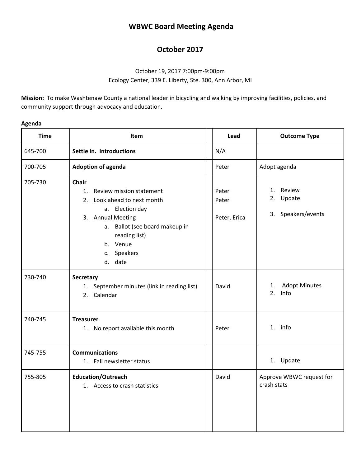# **WBWC Board Meeting Agenda**

## **October 2017**

### October 19, 2017 7:00pm-9:00pm Ecology Center, 339 E. Liberty, Ste. 300, Ann Arbor, MI

**Mission:** To make Washtenaw County a national leader in bicycling and walking by improving facilities, policies, and community support through advocacy and education.

| Δ<br>\gena |  |
|------------|--|
|------------|--|

| <b>Time</b> | <b>Item</b>                                                                                                                                                                                                | Lead                           | <b>Outcome Type</b>                             |
|-------------|------------------------------------------------------------------------------------------------------------------------------------------------------------------------------------------------------------|--------------------------------|-------------------------------------------------|
| 645-700     | Settle in. Introductions                                                                                                                                                                                   | N/A                            |                                                 |
| 700-705     | <b>Adoption of agenda</b>                                                                                                                                                                                  | Peter                          | Adopt agenda                                    |
| 705-730     | Chair<br>Review mission statement<br>1.<br>2. Look ahead to next month<br>a. Election day<br>3. Annual Meeting<br>Ballot (see board makeup in<br>a.<br>reading list)<br>b. Venue<br>c. Speakers<br>d. date | Peter<br>Peter<br>Peter, Erica | Review<br>1.<br>2. Update<br>3. Speakers/events |
| 730-740     | Secretary<br>1. September minutes (link in reading list)<br>2. Calendar                                                                                                                                    | David                          | <b>Adopt Minutes</b><br>1.<br>Info<br>2.        |
| 740-745     | <b>Treasurer</b><br>1. No report available this month                                                                                                                                                      | Peter                          | 1. info                                         |
| 745-755     | <b>Communications</b><br>1. Fall newsletter status                                                                                                                                                         |                                | 1. Update                                       |
| 755-805     | <b>Education/Outreach</b><br>1. Access to crash statistics                                                                                                                                                 | David                          | Approve WBWC request for<br>crash stats         |